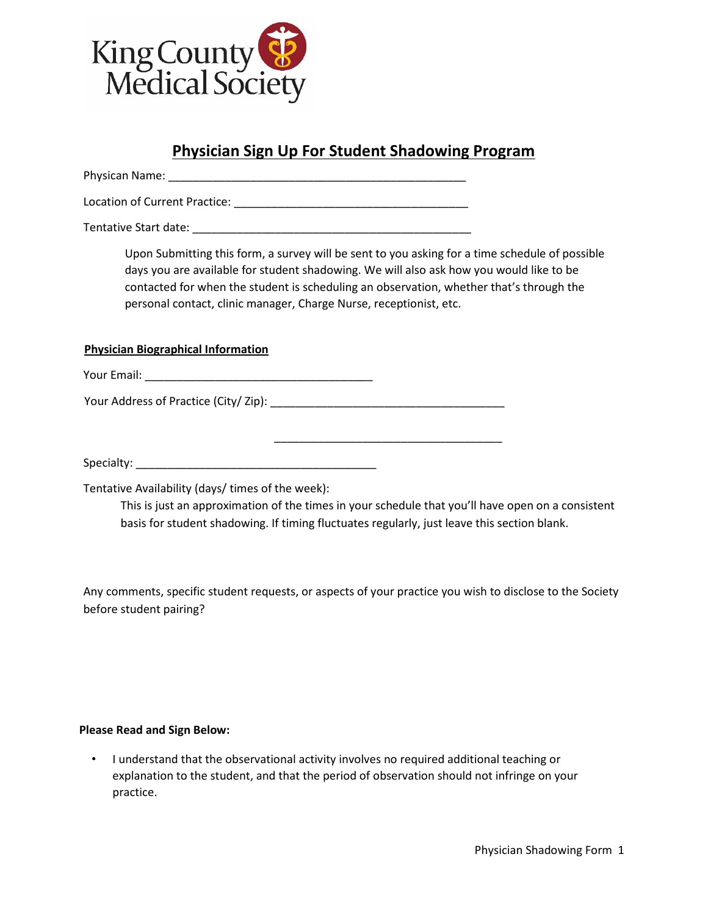

# **Physician Sign Up For Student Shadowing Program**

Physican Name: \_\_\_\_\_\_\_\_\_\_\_\_\_\_\_\_\_\_\_\_\_\_\_\_\_\_\_\_\_\_\_\_\_\_\_\_\_\_\_\_\_\_\_\_\_\_\_

Location of Current Practice: \_\_\_\_\_\_\_\_\_\_\_\_\_\_\_\_\_\_\_\_\_\_\_\_\_\_\_\_\_\_\_\_\_\_\_\_\_

Tentative Start date:

Upon Submitting this form, a survey will be sent to you asking for a time schedule of possible days you are available for student shadowing. We will also ask how you would like to be contacted for when the student is scheduling an observation, whether that's through the personal contact, clinic manager, Charge Nurse, receptionist, etc.

### **Physician Biographical Information**

Your Email: \_\_\_\_\_\_\_\_\_\_\_\_\_\_\_\_\_\_\_\_\_\_\_\_\_\_\_\_\_\_\_\_\_\_\_\_

Your Address of Practice (City/ Zip): \_\_\_\_\_\_\_\_\_\_\_\_\_\_\_\_\_\_\_\_\_\_\_\_\_\_\_\_\_\_\_\_\_\_\_\_\_

Specialty: \_\_\_\_\_\_\_\_\_\_\_\_\_\_\_\_\_\_\_\_\_\_\_\_\_\_\_\_\_\_\_\_\_\_\_\_\_\_

Tentative Availability (days/ times of the week):

This is just an approximation of the times in your schedule that you'll have open on a consistent basis for student shadowing. If timing fluctuates regularly, just leave this section blank.

\_\_\_\_\_\_\_\_\_\_\_\_\_\_\_\_\_\_\_\_\_\_\_\_\_\_\_\_\_\_\_\_\_\_\_\_

Any comments, specific student requests, or aspects of your practice you wish to disclose to the Society before student pairing?

#### **Please Read and Sign Below:**

• I understand that the observational activity involves no required additional teaching or explanation to the student, and that the period of observation should not infringe on your practice.